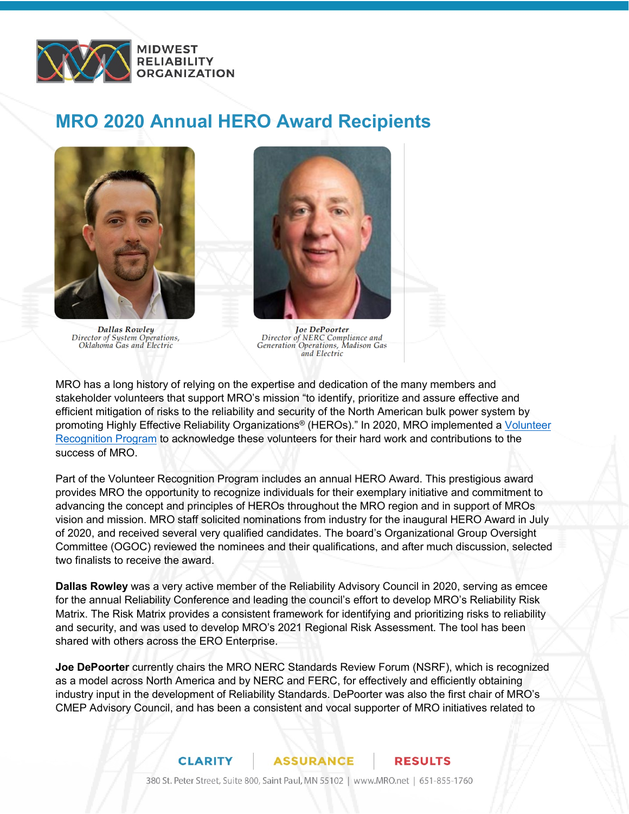

## **MRO 2020 Annual HERO Award Recipients**



**Dallas Rowley** Director of System Operations,<br>Oklahoma Gas and Electric



**Joe DePoorter** Director of NERC Compliance and<br>Generation Operations, Madison Gas and Electric

MRO has a long history of relying on the expertise and dedication of the many members and stakeholder volunteers that support MRO's mission "to identify, prioritize and assure effective and efficient mitigation of risks to the reliability and security of the North American bulk power system by promoting Highly Effective Reliability Organizations® (HEROs)." In 2020, MRO implemented a [Volunteer](https://www.mro.net/MRODocuments/MRO%20Volunteer%20Recognition%20Program.pdf)  [Recognition Program](https://www.mro.net/MRODocuments/MRO%20Volunteer%20Recognition%20Program.pdf) to acknowledge these volunteers for their hard work and contributions to the success of MRO.

Part of the Volunteer Recognition Program includes an annual HERO Award. This prestigious award provides MRO the opportunity to recognize individuals for their exemplary initiative and commitment to advancing the concept and principles of HEROs throughout the MRO region and in support of MROs vision and mission. MRO staff solicited nominations from industry for the inaugural HERO Award in July of 2020, and received several very qualified candidates. The board's Organizational Group Oversight Committee (OGOC) reviewed the nominees and their qualifications, and after much discussion, selected two finalists to receive the award.

**Dallas Rowley** was a very active member of the Reliability Advisory Council in 2020, serving as emcee for the annual Reliability Conference and leading the council's effort to develop MRO's Reliability Risk Matrix. The Risk Matrix provides a consistent framework for identifying and prioritizing risks to reliability and security, and was used to develop MRO's 2021 Regional Risk Assessment. The tool has been shared with others across the ERO Enterprise.

**Joe DePoorter** currently chairs the MRO NERC Standards Review Forum (NSRF), which is recognized as a model across North America and by NERC and FERC, for effectively and efficiently obtaining industry input in the development of Reliability Standards. DePoorter was also the first chair of MRO's CMEP Advisory Council, and has been a consistent and vocal supporter of MRO initiatives related to

## **CLARITY ASSURANCE RESULTS**

380 St. Peter Street, Suite 800, Saint Paul, MN 55102 | www.MRO.net | 651-855-1760